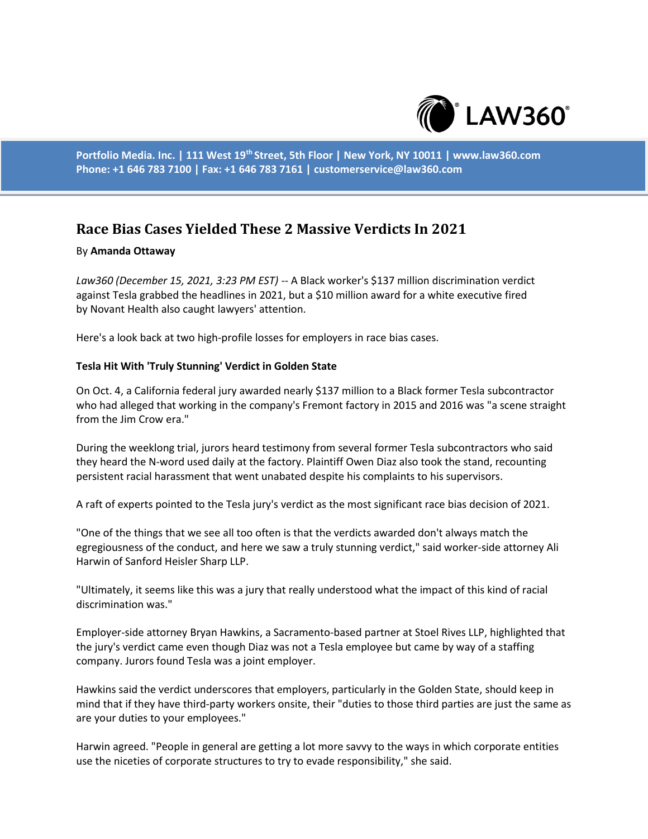

**Portfolio Media. Inc. | 111 West 19th Street, 5th Floor | New York, NY 10011 | www.law360.com Phone: +1 646 783 7100 | Fax: +1 646 783 7161 | customerservice@law360.com**

## **Race Bias Cases Yielded These 2 Massive Verdicts In 2021**

## By **Amanda Ottaway**

*Law360 (December 15, 2021, 3:23 PM EST)* -- A Black worker's \$137 million discrimination verdict against Tesla grabbed the headlines in 2021, but a \$10 million award for a white executive fired by Novant Health also caught lawyers' attention.

Here's a look back at two high-profile losses for employers in race bias cases.

## **Tesla Hit With 'Truly Stunning' Verdict in Golden State**

On Oct. 4, a California federal jury awarded nearly \$137 million to a Black former Tesla subcontractor who had alleged that working in the company's Fremont factory in 2015 and 2016 was "a scene straight from the Jim Crow era."

During the weeklong trial, jurors heard testimony from several former Tesla subcontractors who said they heard the N-word used daily at the factory. Plaintiff Owen Diaz also took the stand, recounting persistent racial harassment that went unabated despite his complaints to his supervisors.

A raft of experts pointed to the Tesla jury's verdict as the most significant race bias decision of 2021.

"One of the things that we see all too often is that the verdicts awarded don't always match the egregiousness of the conduct, and here we saw a truly stunning verdict," said worker-side attorney Ali Harwin of Sanford Heisler Sharp LLP.

"Ultimately, it seems like this was a jury that really understood what the impact of this kind of racial discrimination was."

Employer-side attorney Bryan Hawkins, a Sacramento-based partner at Stoel Rives LLP, highlighted that the jury's verdict came even though Diaz was not a Tesla employee but came by way of a staffing company. Jurors found Tesla was a joint employer.

Hawkins said the verdict underscores that employers, particularly in the Golden State, should keep in mind that if they have third-party workers onsite, their "duties to those third parties are just the same as are your duties to your employees."

Harwin agreed. "People in general are getting a lot more savvy to the ways in which corporate entities use the niceties of corporate structures to try to evade responsibility," she said.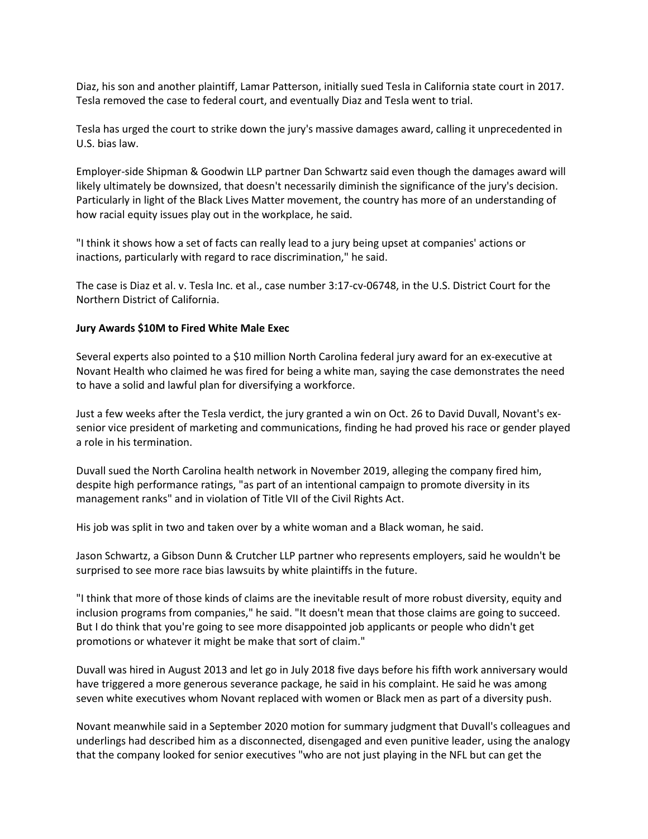Diaz, his son and another plaintiff, Lamar Patterson, initially sued Tesla in California state court in 2017. Tesla removed the case to federal court, and eventually Diaz and Tesla went to trial.

Tesla has urged the court to strike down the jury's massive damages award, calling it unprecedented in U.S. bias law.

Employer-side Shipman & Goodwin LLP partner Dan Schwartz said even though the damages award will likely ultimately be downsized, that doesn't necessarily diminish the significance of the jury's decision. Particularly in light of the Black Lives Matter movement, the country has more of an understanding of how racial equity issues play out in the workplace, he said.

"I think it shows how a set of facts can really lead to a jury being upset at companies' actions or inactions, particularly with regard to race discrimination," he said.

The case is Diaz et al. v. Tesla Inc. et al., case number 3:17-cv-06748, in the U.S. District Court for the Northern District of California.

## **Jury Awards \$10M to Fired White Male Exec**

Several experts also pointed to a \$10 million North Carolina federal jury award for an ex-executive at Novant Health who claimed he was fired for being a white man, saying the case demonstrates the need to have a solid and lawful plan for diversifying a workforce.

Just a few weeks after the Tesla verdict, the jury granted a win on Oct. 26 to David Duvall, Novant's exsenior vice president of marketing and communications, finding he had proved his race or gender played a role in his termination.

Duvall sued the North Carolina health network in November 2019, alleging the company fired him, despite high performance ratings, "as part of an intentional campaign to promote diversity in its management ranks" and in violation of Title VII of the Civil Rights Act.

His job was split in two and taken over by a white woman and a Black woman, he said.

Jason Schwartz, a Gibson Dunn & Crutcher LLP partner who represents employers, said he wouldn't be surprised to see more race bias lawsuits by white plaintiffs in the future.

"I think that more of those kinds of claims are the inevitable result of more robust diversity, equity and inclusion programs from companies," he said. "It doesn't mean that those claims are going to succeed. But I do think that you're going to see more disappointed job applicants or people who didn't get promotions or whatever it might be make that sort of claim."

Duvall was hired in August 2013 and let go in July 2018 five days before his fifth work anniversary would have triggered a more generous severance package, he said in his complaint. He said he was among seven white executives whom Novant replaced with women or Black men as part of a diversity push.

Novant meanwhile said in a September 2020 motion for summary judgment that Duvall's colleagues and underlings had described him as a disconnected, disengaged and even punitive leader, using the analogy that the company looked for senior executives "who are not just playing in the NFL but can get the